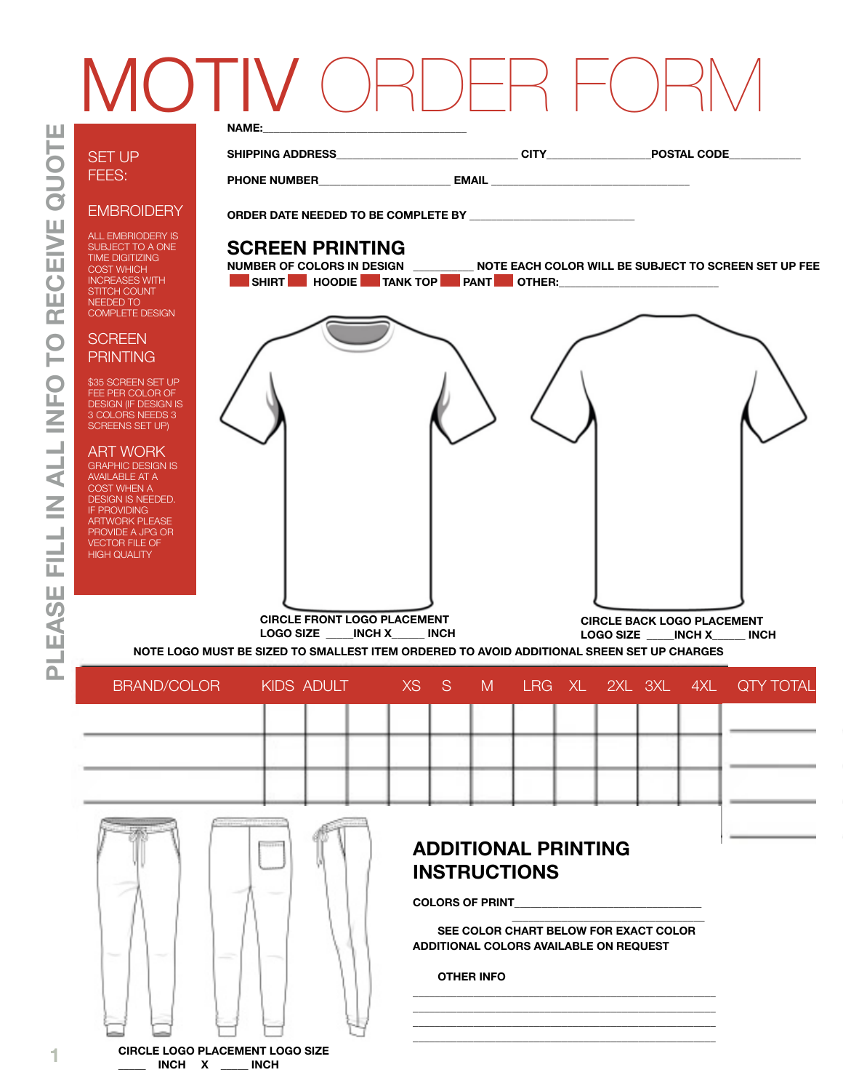# **NAME:** IOTI

# RECEIVE QUOTE **PLEASE FILL IN ALL INFO TO RECEIVE QUOTE NFO** FILL IN ALL EASE Δ.

SET UP FEES:

### **EMBROIDERY**

ALL EMBRIODERY IS SUBJECT TO A ONE TIME DIGITIZING COST WHICH INCREASES WITH STITCH COUNT NEEDED TO COMPLETE DESIGN

#### **SCREEN PRINTING**

\$35 SCREEN SET UP FEE PER COLOR OF DESIGN (IF DESIGN IS 3 COLORS NEEDS 3 SCREENS SET UP)

#### ART WORK

GRAPHIC DESIGN IS AVAILABLE AT A COST WHEN A DESIGN IS NEEDED. **IF PROVIDING** ARTWORK PLEASE PROVIDE A JPG OR VECTOR FILE OF HIGH QUALITY



**PHONE NUMBER\_\_\_\_\_\_\_\_\_\_\_\_\_\_\_\_\_\_\_\_\_\_\_\_ EMAIL \_\_\_\_\_\_\_\_\_\_\_\_\_\_\_\_\_\_\_\_\_\_\_\_\_\_\_\_\_\_\_\_\_\_\_\_** 

**ORDER DATE NEEDED TO BE COMPLETE BY \_\_\_\_\_\_\_\_\_\_\_\_\_\_\_\_\_\_\_\_\_\_\_\_\_\_\_\_\_\_**

# **SCREEN PRINTING**<br>NUMBER OF COLORS IN DESIGN

**NOTE EACH COLOR WILL BE SUBJECT TO SCREEN SET UP FEE** SHIRT HOODIE TANK TOP PANT OTHER:



**CIRCLE FRONT LOGO PLACEMENT LOGO SIZE \_\_\_\_\_INCH X\_\_\_\_\_\_ INCH**

**CIRCLE BACK LOGO PLACEMENT LOGO SIZE \_\_\_\_\_INCH X\_\_\_\_\_\_ INCH**

**NOTE LOGO MUST BE SIZED TO SMALLEST ITEM ORDERED TO AVOID ADDITIONAL SREEN SET UP CHARGES**

| BRAND/COLOR |  |  |  |  |  | KIDS ADULT XS S M LRG XL 2XL 3XL 4XL QTY TOTAL |
|-------------|--|--|--|--|--|------------------------------------------------|
|             |  |  |  |  |  |                                                |
|             |  |  |  |  |  |                                                |
|             |  |  |  |  |  |                                                |
|             |  |  |  |  |  |                                                |

## **ADDITIONAL PRINTING INSTRUCTIONS**

**COLORS OF PRINT\_\_\_\_\_\_\_\_\_\_\_\_\_\_\_\_\_\_\_\_\_\_\_\_\_\_\_\_\_\_\_\_\_\_**

 **\_\_\_\_\_\_\_\_\_\_\_\_\_\_\_\_\_\_\_\_\_\_\_\_\_\_\_\_\_\_\_\_\_\_\_ SEE COLOR CHART BELOW FOR EXACT COLOR ADDITIONAL COLORS AVAILABLE ON REQUEST**

**\_\_\_\_\_\_\_\_\_\_\_\_\_\_\_\_\_\_\_\_\_\_\_\_\_\_\_\_\_\_\_\_\_\_\_\_\_\_\_\_\_\_\_\_\_\_\_\_\_\_\_\_\_\_\_ \_\_\_\_\_\_\_\_\_\_\_\_\_\_\_\_\_\_\_\_\_\_\_\_\_\_\_\_\_\_\_\_\_\_\_\_\_\_\_\_\_\_\_\_\_\_\_\_\_\_\_\_\_\_\_ \_\_\_\_\_\_\_\_\_\_\_\_\_\_\_\_\_\_\_\_\_\_\_\_\_\_\_\_\_\_\_\_\_\_\_\_\_\_\_\_\_\_\_\_\_\_\_\_\_\_\_\_\_\_\_ \_\_\_\_\_\_\_\_\_\_\_\_\_\_\_\_\_\_\_\_\_\_\_\_\_\_\_\_\_\_\_\_\_\_\_\_\_\_\_\_\_\_\_\_\_\_\_\_\_\_\_\_\_\_\_** 

**OTHER INFO**